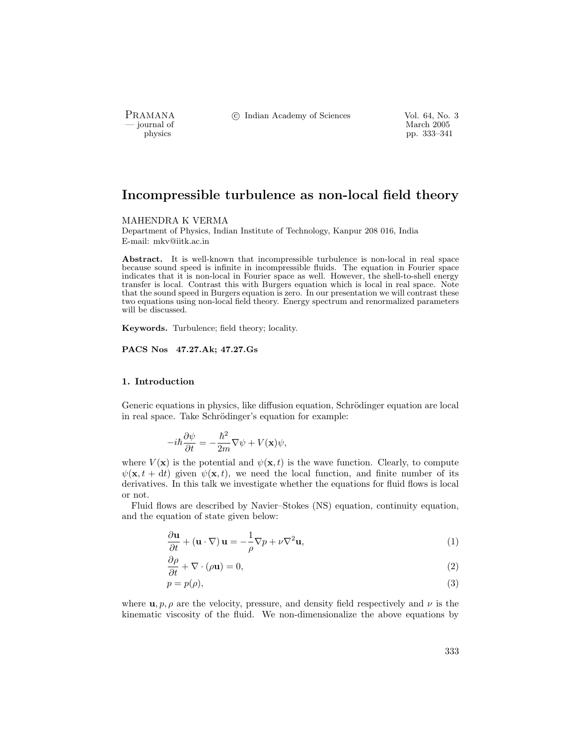PRAMANA °<sup>c</sup> Indian Academy of Sciences Vol. 64, No. 3

— journal of March 2005<br>— physics — journal of March 2005<br>— pp. 333–341 physics pp. 333–341

# Incompressible turbulence as non-local field theory

MAHENDRA K VERMA

Department of Physics, Indian Institute of Technology, Kanpur 208 016, India E-mail: mkv@iitk.ac.in

Abstract. It is well-known that incompressible turbulence is non-local in real space because sound speed is infinite in incompressible fluids. The equation in Fourier space indicates that it is non-local in Fourier space as well. However, the shell-to-shell energy transfer is local. Contrast this with Burgers equation which is local in real space. Note that the sound speed in Burgers equation is zero. In our presentation we will contrast these two equations using non-local field theory. Energy spectrum and renormalized parameters will be discussed.

Keywords. Turbulence; field theory; locality.

PACS Nos 47.27.Ak; 47.27.Gs

## 1. Introduction

Generic equations in physics, like diffusion equation, Schrödinger equation are local in real space. Take Schrödinger's equation for example:

$$
-i\hbar\frac{\partial\psi}{\partial t} = -\frac{\hbar^2}{2m}\nabla\psi + V(\mathbf{x})\psi,
$$

where  $V(\mathbf{x})$  is the potential and  $\psi(\mathbf{x},t)$  is the wave function. Clearly, to compute  $\psi(\mathbf{x}, t + dt)$  given  $\psi(\mathbf{x}, t)$ , we need the local function, and finite number of its derivatives. In this talk we investigate whether the equations for fluid flows is local or not.

Fluid flows are described by Navier–Stokes (NS) equation, continuity equation, and the equation of state given below:

$$
\frac{\partial \mathbf{u}}{\partial t} + (\mathbf{u} \cdot \nabla) \mathbf{u} = -\frac{1}{\rho} \nabla p + \nu \nabla^2 \mathbf{u},\tag{1}
$$

$$
\frac{\partial \rho}{\partial t} + \nabla \cdot (\rho \mathbf{u}) = 0,\tag{2}
$$

$$
p = p(\rho),\tag{3}
$$

where  $\mathbf{u}, p, \rho$  are the velocity, pressure, and density field respectively and  $\nu$  is the kinematic viscosity of the fluid. We non-dimensionalize the above equations by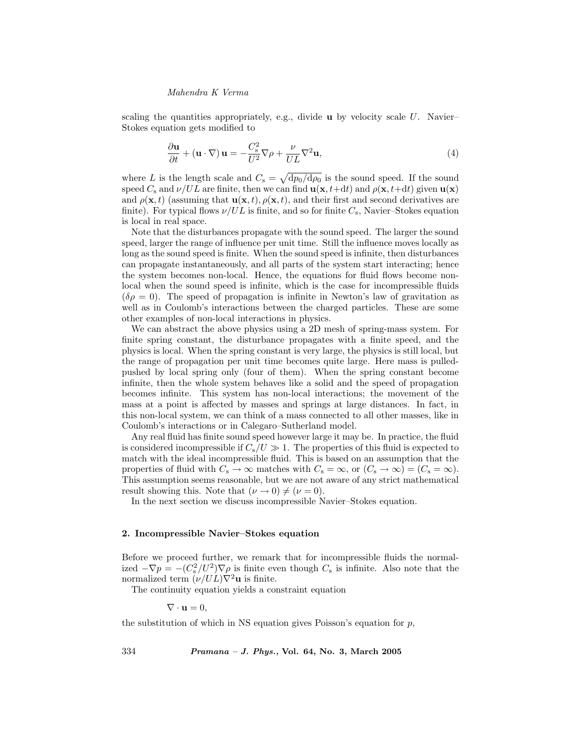#### Mahendra K Verma

scaling the quantities appropriately, e.g., divide  $\bf{u}$  by velocity scale U. Navier– Stokes equation gets modified to

$$
\frac{\partial \mathbf{u}}{\partial t} + (\mathbf{u} \cdot \nabla) \mathbf{u} = -\frac{C_s^2}{U^2} \nabla \rho + \frac{\nu}{UL} \nabla^2 \mathbf{u},\tag{4}
$$

where L is the length scale and  $C_s = \sqrt{\frac{dp_0}{dq_0}}$  is the sound speed. If the sound speed  $C_s$  and  $\nu/UL$  are finite, then we can find  $\mathbf{u}(\mathbf{x}, t+dt)$  and  $\rho(\mathbf{x}, t+dt)$  given  $\mathbf{u}(\mathbf{x})$ and  $\rho(\mathbf{x}, t)$  (assuming that  $\mathbf{u}(\mathbf{x}, t)$ ,  $\rho(\mathbf{x}, t)$ , and their first and second derivatives are finite). For typical flows  $\nu/UL$  is finite, and so for finite  $C_s$ , Navier–Stokes equation is local in real space.

Note that the disturbances propagate with the sound speed. The larger the sound speed, larger the range of influence per unit time. Still the influence moves locally as long as the sound speed is finite. When the sound speed is infinite, then disturbances can propagate instantaneously, and all parts of the system start interacting; hence the system becomes non-local. Hence, the equations for fluid flows become nonlocal when the sound speed is infinite, which is the case for incompressible fluids  $(\delta \rho = 0)$ . The speed of propagation is infinite in Newton's law of gravitation as well as in Coulomb's interactions between the charged particles. These are some other examples of non-local interactions in physics.

We can abstract the above physics using a 2D mesh of spring-mass system. For finite spring constant, the disturbance propagates with a finite speed, and the physics is local. When the spring constant is very large, the physics is still local, but the range of propagation per unit time becomes quite large. Here mass is pulledpushed by local spring only (four of them). When the spring constant become infinite, then the whole system behaves like a solid and the speed of propagation becomes infinite. This system has non-local interactions; the movement of the mass at a point is affected by masses and springs at large distances. In fact, in this non-local system, we can think of a mass connected to all other masses, like in Coulomb's interactions or in Calegaro–Sutherland model.

Any real fluid has finite sound speed however large it may be. In practice, the fluid is considered incompressible if  $C_s/U \gg 1$ . The properties of this fluid is expected to match with the ideal incompressible fluid. This is based on an assumption that the properties of fluid with  $C_s \to \infty$  matches with  $C_s = \infty$ , or  $(C_s \to \infty) = (C_s = \infty)$ . This assumption seems reasonable, but we are not aware of any strict mathematical result showing this. Note that  $(\nu \to 0) \neq (\nu = 0)$ .

In the next section we discuss incompressible Navier–Stokes equation.

# 2. Incompressible Navier–Stokes equation

Before we proceed further, we remark that for incompressible fluids the normalized  $-\nabla p = -(C_s^2/U^2)\nabla \rho$  is finite even though  $C_s$  is infinite. Also note that the normalized term  $(\nu/UL)\nabla^2\mathbf{u}$  is finite.

The continuity equation yields a constraint equation

$$
\nabla \cdot \mathbf{u} = 0,
$$

the substitution of which in NS equation gives Poisson's equation for  $p$ ,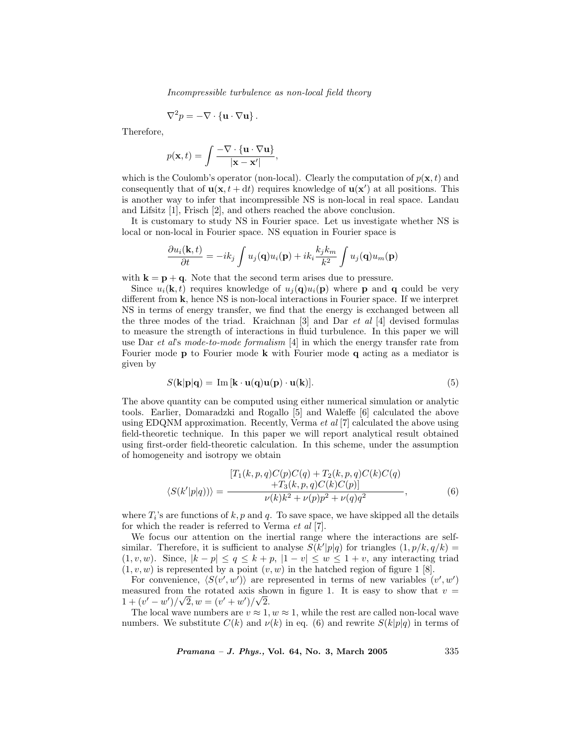Incompressible turbulence as non-local field theory

$$
\nabla^2 p = -\nabla \cdot \{\mathbf{u} \cdot \nabla \mathbf{u}\}.
$$

Therefore,

$$
p(\mathbf{x},t) = \int \frac{-\nabla \cdot \{\mathbf{u} \cdot \nabla \mathbf{u}\}}{|\mathbf{x} - \mathbf{x}'|},
$$

which is the Coulomb's operator (non-local). Clearly the computation of  $p(\mathbf{x}, t)$  and consequently that of  $\mathbf{u}(\mathbf{x}, t + dt)$  requires knowledge of  $\mathbf{u}(\mathbf{x}')$  at all positions. This is another way to infer that incompressible NS is non-local in real space. Landau and Lifsitz [1], Frisch [2], and others reached the above conclusion.

It is customary to study NS in Fourier space. Let us investigate whether NS is local or non-local in Fourier space. NS equation in Fourier space is

$$
\frac{\partial u_i(\mathbf{k},t)}{\partial t} = -ik_j \int u_j(\mathbf{q}) u_i(\mathbf{p}) + ik_i \frac{k_j k_m}{k^2} \int u_j(\mathbf{q}) u_m(\mathbf{p})
$$

with  $\mathbf{k} = \mathbf{p} + \mathbf{q}$ . Note that the second term arises due to pressure.

Since  $u_i(\mathbf{k}, t)$  requires knowledge of  $u_i(\mathbf{q})u_i(\mathbf{p})$  where **p** and **q** could be very different from k, hence NS is non-local interactions in Fourier space. If we interpret NS in terms of energy transfer, we find that the energy is exchanged between all the three modes of the triad. Kraichnan [3] and Dar et al [4] devised formulas to measure the strength of interactions in fluid turbulence. In this paper we will use Dar et al's mode-to-mode formalism  $[4]$  in which the energy transfer rate from Fourier mode **p** to Fourier mode **k** with Fourier mode **q** acting as a mediator is given by

$$
S(\mathbf{k}|\mathbf{p}|\mathbf{q}) = \operatorname{Im}[\mathbf{k} \cdot \mathbf{u}(\mathbf{q})\mathbf{u}(\mathbf{p}) \cdot \mathbf{u}(\mathbf{k})]. \tag{5}
$$

The above quantity can be computed using either numerical simulation or analytic tools. Earlier, Domaradzki and Rogallo [5] and Waleffe [6] calculated the above using EDQNM approximation. Recently, Verma  $et al [7]$  calculated the above using field-theoretic technique. In this paper we will report analytical result obtained using first-order field-theoretic calculation. In this scheme, under the assumption of homogeneity and isotropy we obtain

$$
\langle S(k'|p|q)\rangle = \frac{[T_1(k,p,q)C(p)C(q) + T_2(k,p,q)C(k)C(q) + T_3(k,p,q)C(k)C(p)]}{\nu(k)k^2 + \nu(p)p^2 + \nu(q)q^2},
$$
(6)

where  $T_i$ 's are functions of k, p and q. To save space, we have skipped all the details for which the reader is referred to Verma et al [7].

We focus our attention on the inertial range where the interactions are selfsimilar. Therefore, it is sufficient to analyse  $S(k'|p|q)$  for triangles  $(1, p/k, q/k)$  =  $(1, v, w)$ . Since,  $|k - p| \le q \le k + p$ ,  $|1 - v| \le w \le 1 + v$ , any interacting triad  $(1, v, w)$  is represented by a point  $(v, w)$  in the hatched region of figure 1 [8].

For convenience,  $\langle S(v', w') \rangle$  are represented in terms of new variables  $(v', w')$ measured from the rotated axis shown in figure 1. It is easy to show that  $v =$  $1 + (v' - w')/\sqrt{2}, w = (v' + w')/\sqrt{2}.$ 

The local wave numbers are  $v \approx 1, w \approx 1$ , while the rest are called non-local wave numbers. We substitute  $C(k)$  and  $\nu(k)$  in eq. (6) and rewrite  $S(k|p|q)$  in terms of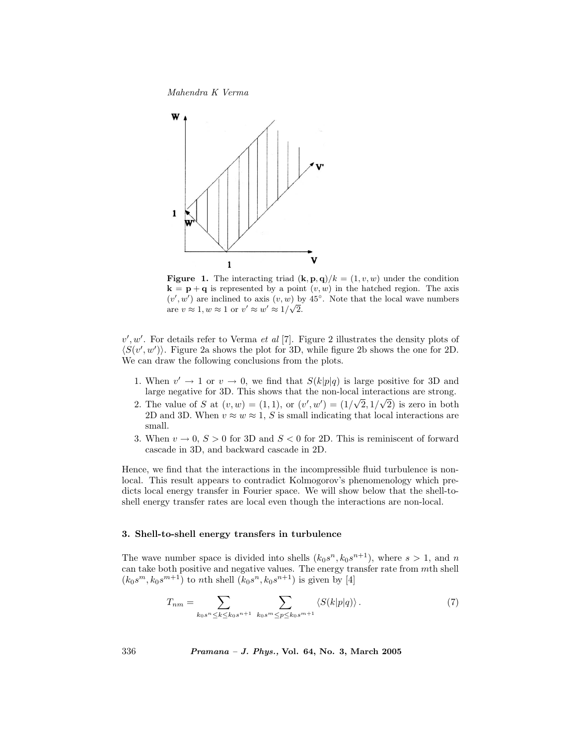Mahendra K Verma



**Figure 1.** The interacting triad  $(\mathbf{k}, \mathbf{p}, \mathbf{q})/k = (1, v, w)$  under the condition  $\mathbf{k} = \mathbf{p} + \mathbf{q}$  is represented by a point  $(v, w)$  in the hatched region. The axis  $(v', w')$  are inclined to axis  $(v, w)$  by 45<sup>°</sup>. Note that the local wave numbers are  $v \approx 1, w \approx 1$  or  $v' \approx w' \approx 1/\sqrt{2}$ .

 $v', w'$ . For details refer to Verma et al [7]. Figure 2 illustrates the density plots of  $\langle S(v', w')\rangle$ . Figure 2a shows the plot for 3D, while figure 2b shows the one for 2D. We can draw the following conclusions from the plots.

- 1. When  $v' \rightarrow 1$  or  $v \rightarrow 0$ , we find that  $S(k|p|q)$  is large positive for 3D and large negative for 3D. This shows that the non-local interactions are strong.
- 2. The value of S at  $(v, w) = (1, 1)$ , or  $(v', w') = (1/\sqrt{2}, 1/\sqrt{2})$  is zero in both 2D and 3D. When  $v \approx w \approx 1$ , S is small indicating that local interactions are small.
- 3. When  $v \to 0$ ,  $S > 0$  for 3D and  $S < 0$  for 2D. This is reminiscent of forward cascade in 3D, and backward cascade in 2D.

Hence, we find that the interactions in the incompressible fluid turbulence is nonlocal. This result appears to contradict Kolmogorov's phenomenology which predicts local energy transfer in Fourier space. We will show below that the shell-toshell energy transfer rates are local even though the interactions are non-local.

## 3. Shell-to-shell energy transfers in turbulence

The wave number space is divided into shells  $(k_0s^n, k_0s^{n+1})$ , where  $s > 1$ , and n can take both positive and negative values. The energy transfer rate from mth shell  $(k_0s^m, k_0s^{m+1})$  to nth shell  $(k_0s^n, k_0s^{n+1})$  is given by [4]

$$
T_{nm} = \sum_{k_0 s^n \le k \le k_0 s^{n+1}} \sum_{k_0 s^m \le p \le k_0 s^{m+1}} \langle S(k|p|q) \rangle. \tag{7}
$$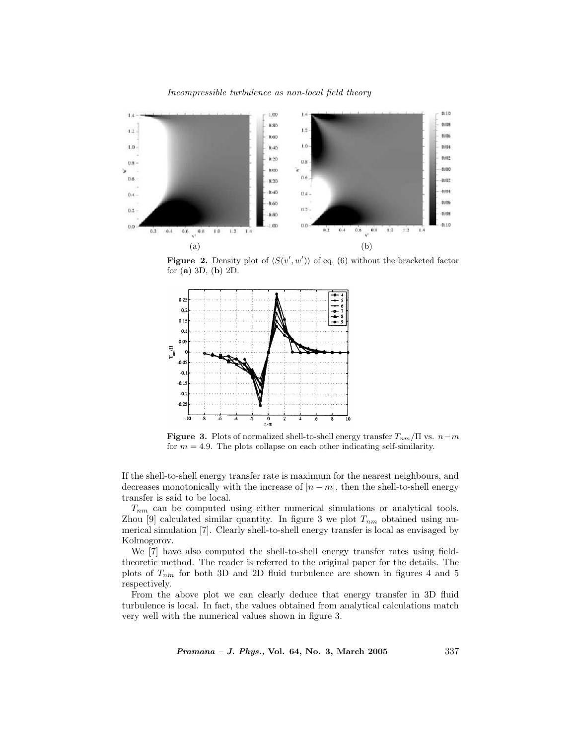Incompressible turbulence as non-local field theory



**Figure 2.** Density plot of  $\langle S(v', w') \rangle$  of eq. (6) without the bracketed factor for (a) 3D, (b) 2D.



**Figure 3.** Plots of normalized shell-to-shell energy transfer  $T_{nm}/\Pi$  vs.  $n-m$ for  $m = 4.9$ . The plots collapse on each other indicating self-similarity.

If the shell-to-shell energy transfer rate is maximum for the nearest neighbours, and decreases monotonically with the increase of  $|n - m|$ , then the shell-to-shell energy transfer is said to be local.

 $T_{nm}$  can be computed using either numerical simulations or analytical tools. Zhou [9] calculated similar quantity. In figure 3 we plot  $T_{nm}$  obtained using numerical simulation [7]. Clearly shell-to-shell energy transfer is local as envisaged by Kolmogorov.

We [7] have also computed the shell-to-shell energy transfer rates using fieldtheoretic method. The reader is referred to the original paper for the details. The plots of  $T_{nm}$  for both 3D and 2D fluid turbulence are shown in figures 4 and 5 respectively.

From the above plot we can clearly deduce that energy transfer in 3D fluid turbulence is local. In fact, the values obtained from analytical calculations match very well with the numerical values shown in figure 3.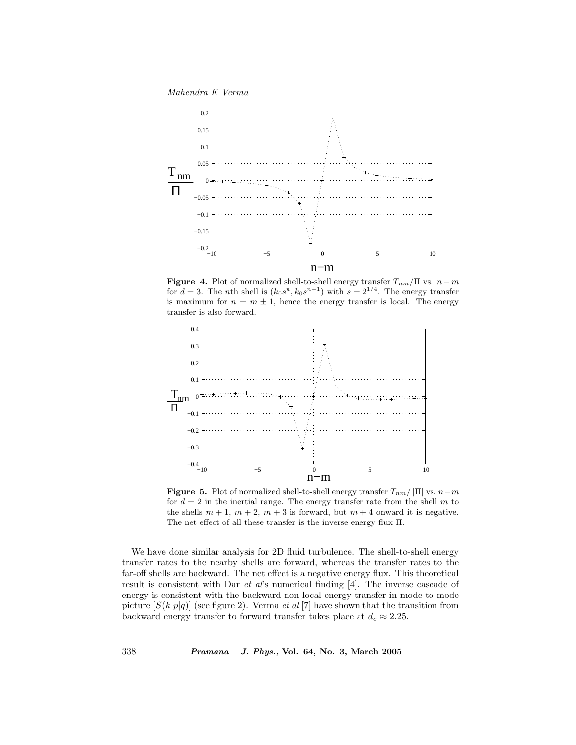Mahendra K Verma



**Figure 4.** Plot of normalized shell-to-shell energy transfer  $T_{nm}/\Pi$  vs.  $n-m$ for  $d = 3$ . The nth shell is  $(k_0s^n, k_0s^{n+1})$  with  $s = 2^{1/4}$ . The energy transfer is maximum for  $n = m \pm 1$ , hence the energy transfer is local. The energy transfer is also forward.



**Figure 5.** Plot of normalized shell-to-shell energy transfer  $T_{nm}/|\Pi|$  vs.  $n-m$ for  $d = 2$  in the inertial range. The energy transfer rate from the shell m to the shells  $m + 1$ ,  $m + 2$ ,  $m + 3$  is forward, but  $m + 4$  onward it is negative. The net effect of all these transfer is the inverse energy flux Π.

We have done similar analysis for 2D fluid turbulence. The shell-to-shell energy transfer rates to the nearby shells are forward, whereas the transfer rates to the far-off shells are backward. The net effect is a negative energy flux. This theoretical result is consistent with Dar et al's numerical finding [4]. The inverse cascade of energy is consistent with the backward non-local energy transfer in mode-to-mode picture  $[S(k|p|q)]$  (see figure 2). Verma *et al* [7] have shown that the transition from backward energy transfer to forward transfer takes place at  $d_c \approx 2.25$ .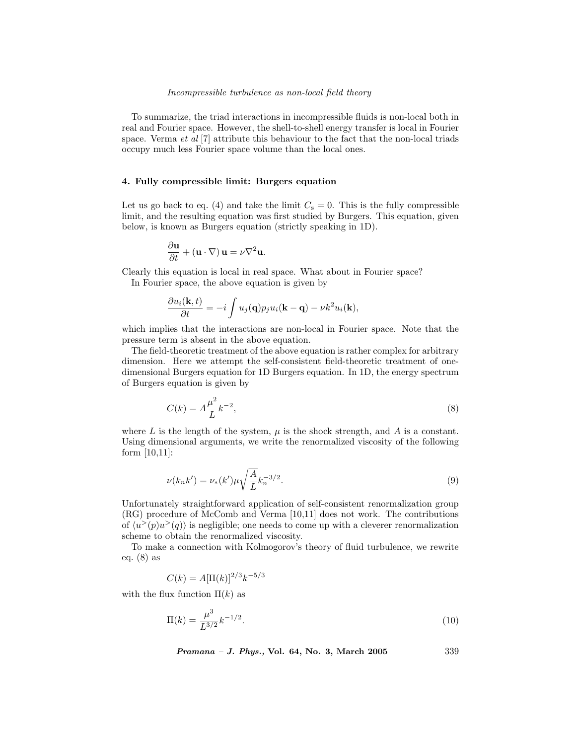#### Incompressible turbulence as non-local field theory

To summarize, the triad interactions in incompressible fluids is non-local both in real and Fourier space. However, the shell-to-shell energy transfer is local in Fourier space. Verma  $et$  al  $[7]$  attribute this behaviour to the fact that the non-local triads occupy much less Fourier space volume than the local ones.

# 4. Fully compressible limit: Burgers equation

Let us go back to eq. (4) and take the limit  $C_s = 0$ . This is the fully compressible limit, and the resulting equation was first studied by Burgers. This equation, given below, is known as Burgers equation (strictly speaking in 1D).

$$
\frac{\partial \mathbf{u}}{\partial t} + (\mathbf{u} \cdot \nabla) \mathbf{u} = \nu \nabla^2 \mathbf{u}.
$$

Clearly this equation is local in real space. What about in Fourier space?

In Fourier space, the above equation is given by

$$
\frac{\partial u_i(\mathbf{k},t)}{\partial t} = -i \int u_j(\mathbf{q}) p_j u_i(\mathbf{k}-\mathbf{q}) - \nu k^2 u_i(\mathbf{k}),
$$

which implies that the interactions are non-local in Fourier space. Note that the pressure term is absent in the above equation.

The field-theoretic treatment of the above equation is rather complex for arbitrary dimension. Here we attempt the self-consistent field-theoretic treatment of onedimensional Burgers equation for 1D Burgers equation. In 1D, the energy spectrum of Burgers equation is given by

$$
C(k) = A \frac{\mu^2}{L} k^{-2},
$$
\n(8)

where L is the length of the system,  $\mu$  is the shock strength, and A is a constant. Using dimensional arguments, we write the renormalized viscosity of the following form [10,11]:

$$
\nu(k_n k') = \nu_*(k') \mu \sqrt{\frac{A}{L}} k_n^{-3/2}.
$$
\n(9)

Unfortunately straightforward application of self-consistent renormalization group (RG) procedure of McComb and Verma [10,11] does not work. The contributions of  $\langle u^>(p)u^>(q)\rangle$  is negligible; one needs to come up with a cleverer renormalization scheme to obtain the renormalized viscosity.

To make a connection with Kolmogorov's theory of fluid turbulence, we rewrite eq. (8) as

$$
C(k) = A[\Pi(k)]^{2/3}k^{-5/3}
$$

with the flux function  $\Pi(k)$  as

$$
\Pi(k) = \frac{\mu^3}{L^{3/2}} k^{-1/2}.
$$
\n(10)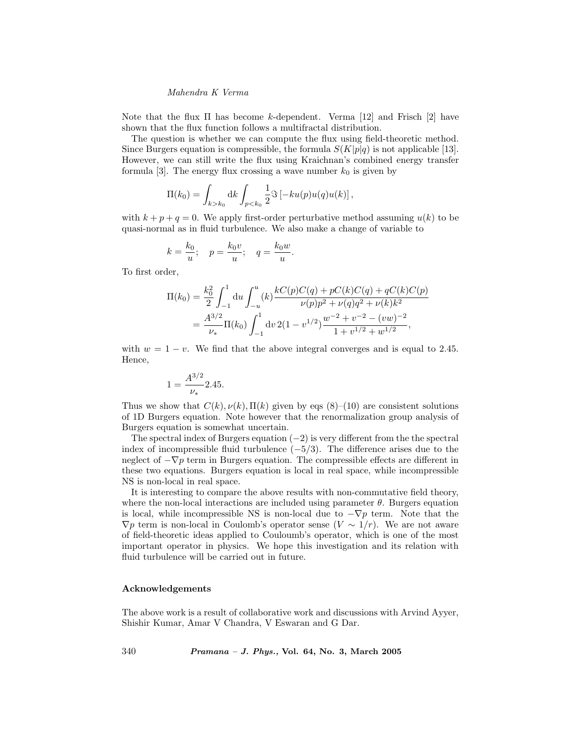# Mahendra K Verma

Note that the flux  $\Pi$  has become k-dependent. Verma [12] and Frisch [2] have shown that the flux function follows a multifractal distribution.

The question is whether we can compute the flux using field-theoretic method. Since Burgers equation is compressible, the formula  $S(K|p|q)$  is not applicable [13]. However, we can still write the flux using Kraichnan's combined energy transfer formula [3]. The energy flux crossing a wave number  $k_0$  is given by

$$
\Pi(k_0) = \int_{k > k_0} dk \int_{p < k_0} \frac{1}{2} \Im \left[ -ku(p)u(q)u(k) \right],
$$

with  $k + p + q = 0$ . We apply first-order perturbative method assuming  $u(k)$  to be quasi-normal as in fluid turbulence. We also make a change of variable to

$$
k = \frac{k_0}{u}; \quad p = \frac{k_0 v}{u}; \quad q = \frac{k_0 w}{u}.
$$

To first order,

$$
\Pi(k_0) = \frac{k_0^2}{2} \int_{-1}^1 du \int_{-u}^u (k) \frac{kC(p)C(q) + pC(k)C(q) + qC(k)C(p)}{\nu(p)p^2 + \nu(q)q^2 + \nu(k)k^2}
$$
  
= 
$$
\frac{A^{3/2}}{\nu_*} \Pi(k_0) \int_{-1}^1 dv \, 2(1 - v^{1/2}) \frac{w^{-2} + v^{-2} - (vw)^{-2}}{1 + v^{1/2} + w^{1/2}},
$$

with  $w = 1 - v$ . We find that the above integral converges and is equal to 2.45. Hence,

$$
1 = \frac{A^{3/2}}{\nu_*} 2.45.
$$

Thus we show that  $C(k)$ ,  $\nu(k)$ ,  $\Pi(k)$  given by eqs (8)–(10) are consistent solutions of 1D Burgers equation. Note however that the renormalization group analysis of Burgers equation is somewhat uncertain.

The spectral index of Burgers equation  $(-2)$  is very different from the the spectral index of incompressible fluid turbulence  $(-5/3)$ . The difference arises due to the neglect of  $-\nabla p$  term in Burgers equation. The compressible effects are different in these two equations. Burgers equation is local in real space, while incompressible NS is non-local in real space.

It is interesting to compare the above results with non-commutative field theory, where the non-local interactions are included using parameter  $\theta$ . Burgers equation is local, while incompressible NS is non-local due to  $-\nabla p$  term. Note that the  $\nabla p$  term is non-local in Coulomb's operator sense  $(V \sim 1/r)$ . We are not aware of field-theoretic ideas applied to Couloumb's operator, which is one of the most important operator in physics. We hope this investigation and its relation with fluid turbulence will be carried out in future.

# Acknowledgements

The above work is a result of collaborative work and discussions with Arvind Ayyer, Shishir Kumar, Amar V Chandra, V Eswaran and G Dar.